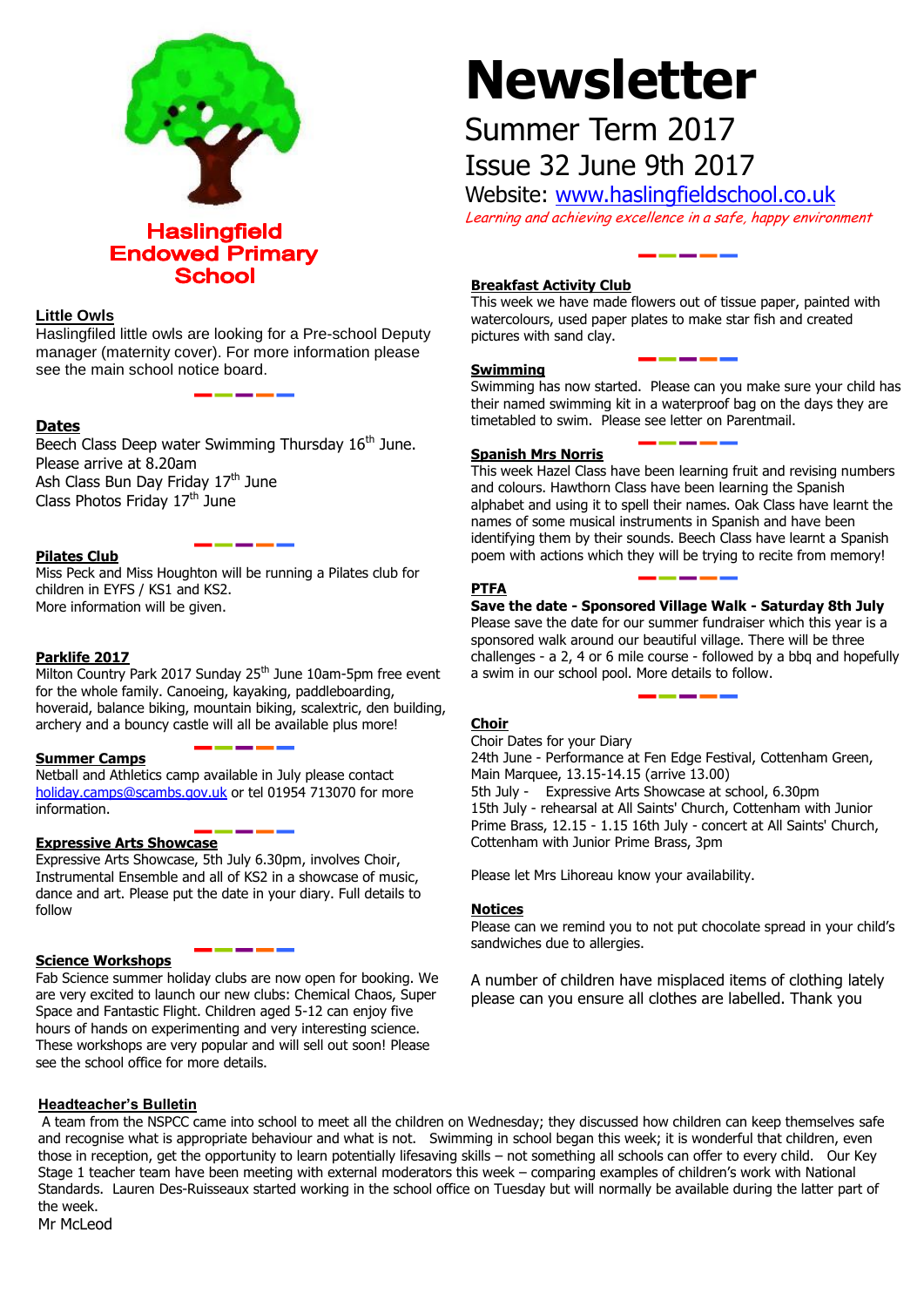

#### **Little Owls**

Haslingfiled little owls are looking for a Pre-school Deputy manager (maternity cover). For more information please see the main school notice board.

#### **Dates**

Beech Class Deep water Swimming Thursday 16<sup>th</sup> June. Please arrive at 8.20am Ash Class Bun Day Friday 17<sup>th</sup> June Class Photos Friday  $17<sup>th</sup>$  June

#### **Pilates Club**

Miss Peck and Miss Houghton will be running a Pilates club for children in EYFS / KS1 and KS2. More information will be given.

#### **Parklife 2017**

Milton Country Park 2017 Sunday 25<sup>th</sup> June 10am-5pm free event for the whole family. Canoeing, kayaking, paddleboarding, hoveraid, balance biking, mountain biking, scalextric, den building, archery and a bouncy castle will all be available plus more!

#### **Summer Camps**

Netball and Athletics camp available in July please contact [holiday.camps@scambs.gov.uk](mailto:holiday.camps@scambs.gov.uk) or tel 01954 713070 for more information.

#### **Expressive Arts Showcase**

Expressive Arts Showcase, 5th July 6.30pm, involves Choir, Instrumental Ensemble and all of KS2 in a showcase of music, dance and art. Please put the date in your diary. Full details to follow

#### **Science Workshops**

Fab Science summer holiday clubs are now open for booking. We are very excited to launch our new clubs: Chemical Chaos, Super Space and Fantastic Flight. Children aged 5-12 can enjoy five hours of hands on experimenting and very interesting science. These workshops are very popular and will sell out soon! Please see the school office for more details.

# **Newsletter**

## Summer Term 2017 Issue 32 June 9th 2017

Website: [www.haslingfieldschool.co.uk](http://www.haslingfieldschool.co.uk/) Learning and achieving excellence in a safe, happy environment

### **Breakfast Activity Club**

This week we have made flowers out of tissue paper, painted with watercolours, used paper plates to make star fish and created pictures with sand clay.

#### **Swimming**

Swimming has now started. Please can you make sure your child has their named swimming kit in a waterproof bag on the days they are timetabled to swim. Please see letter on Parentmail.

#### **Spanish Mrs Norris**

This week Hazel Class have been learning fruit and revising numbers and colours. Hawthorn Class have been learning the Spanish alphabet and using it to spell their names. Oak Class have learnt the names of some musical instruments in Spanish and have been identifying them by their sounds. Beech Class have learnt a Spanish poem with actions which they will be trying to recite from memory!

#### **PTFA**

**Save the date - Sponsored Village Walk - Saturday 8th July** Please save the date for our summer fundraiser which this year is a sponsored walk around our beautiful village. There will be three challenges - a 2, 4 or 6 mile course - followed by a bbq and hopefully a swim in our school pool. More details to follow.

#### **Choir**

 Prime Brass, 12.15 - 1.15 16th July - concert at All Saints' Church, Choir Dates for your Diary 24th June - Performance at Fen Edge Festival, Cottenham Green, Main Marquee, 13.15-14.15 (arrive 13.00) 5th July - Expressive Arts Showcase at school, 6.30pm 15th July - rehearsal at All Saints' Church, Cottenham with Junior Cottenham with Junior Prime Brass, 3pm

Please let Mrs Lihoreau know your availability.

#### **Notices**

Please can we remind you to not put chocolate spread in your child's sandwiches due to allergies.

A number of children have misplaced items of clothing lately please can you ensure all clothes are labelled. Thank you

#### **Headteacher's Bulletin**

**Sunday Club**  A team from the NSPCC came into school to meet all the children on Wednesday; they discussed how children can keep themselves safe A team nom the NSP CC came into school to meet all the children on wearlesday, they discussed now children can keep themselves said and recognise what is appropriate behaviour and what is not. Swimming in school began this and recognise what is appropriate behaviour and what is not. Swimming in school began this week, it is wonderful that children, even<br>those in reception, get the opportunity to learn potentially lifesaving skills – not some abse in reception, get the opportunity to learn potentially inesaving skins – not something an schools can oner to every child. Our is<br>Stage 1 teacher team have been meeting with external moderators this week – comparing e Stage I teather team have been meeting with external moderator Standards. Lauren Des-Ruisseaux started working in the school office on Tuesday but will normally be available during the latter part of<br>the weak the week.

Mr McLeod